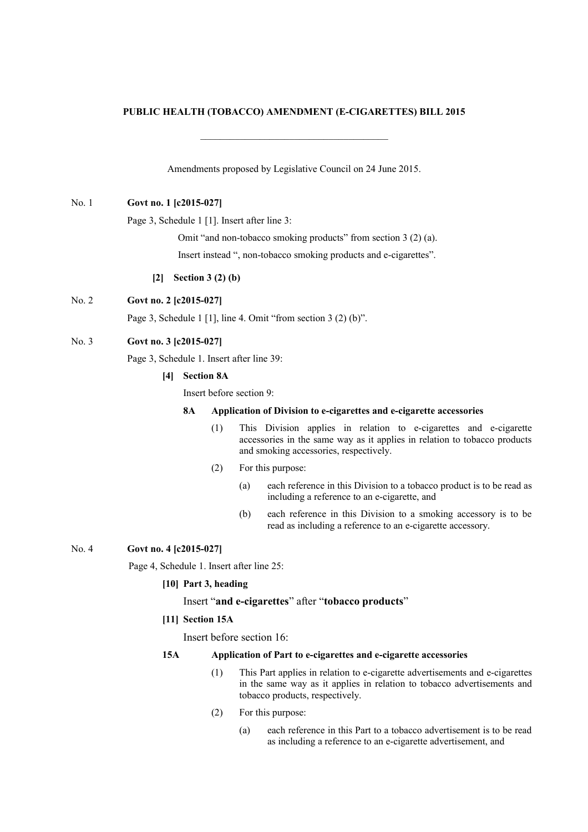## **PUBLIC HEALTH (TOBACCO) AMENDMENT (E-CIGARETTES) BILL 2015**

 $\mathcal{L}_\text{max}$  and  $\mathcal{L}_\text{max}$  and  $\mathcal{L}_\text{max}$  and  $\mathcal{L}_\text{max}$ 

Amendments proposed by Legislative Council on 24 June 2015.

#### No. 1 **Govt no. 1 [c2015-027]**

Page 3, Schedule 1 [1]. Insert after line 3:

Omit "and non-tobacco smoking products" from section 3 (2) (a).

Insert instead ", non-tobacco smoking products and e-cigarettes".

# **[2] Section 3 (2) (b)**

# No. 2 **Govt no. 2 [c2015-027]**

Page 3, Schedule 1 [1], line 4. Omit "from section 3 (2) (b)".

## No. 3 **Govt no. 3 [c2015-027]**

Page 3, Schedule 1. Insert after line 39:

**[4] Section 8A** 

Insert before section 9:

## **8A Application of Division to e-cigarettes and e-cigarette accessories**

- (1) This Division applies in relation to e-cigarettes and e-cigarette accessories in the same way as it applies in relation to tobacco products and smoking accessories, respectively.
- (2) For this purpose:
	- (a) each reference in this Division to a tobacco product is to be read as including a reference to an e-cigarette, and
	- (b) each reference in this Division to a smoking accessory is to be read as including a reference to an e-cigarette accessory.

## No. 4 **Govt no. 4 [c2015-027]**

Page 4, Schedule 1. Insert after line 25:

## **[10] Part 3, heading**

## Insert "**and e-cigarettes**" after "**tobacco products**"

**[11] Section 15A** 

Insert before section 16:

### **15A Application of Part to e-cigarettes and e-cigarette accessories**

- (1) This Part applies in relation to e-cigarette advertisements and e-cigarettes in the same way as it applies in relation to tobacco advertisements and tobacco products, respectively.
- (2) For this purpose:
	- (a) each reference in this Part to a tobacco advertisement is to be read as including a reference to an e-cigarette advertisement, and